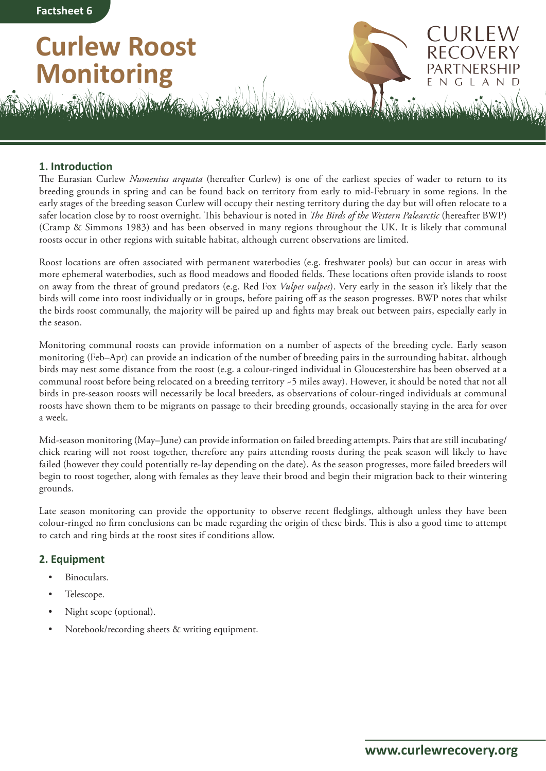# **Curlew Roost Monitoring**



JRI EV

L

A N D

N G

**1. Introduction**

The Eurasian Curlew *Numenius arquata* (hereafter Curlew) is one of the earliest species of wader to return to its breeding grounds in spring and can be found back on territory from early to mid-February in some regions. In the early stages of the breeding season Curlew will occupy their nesting territory during the day but will often relocate to a safer location close by to roost overnight. This behaviour is noted in *The Birds of the Western Palearctic* (hereafter BWP) (Cramp & Simmons 1983) and has been observed in many regions throughout the UK. It is likely that communal roosts occur in other regions with suitable habitat, although current observations are limited.

Roost locations are often associated with permanent waterbodies (e.g. freshwater pools) but can occur in areas with more ephemeral waterbodies, such as flood meadows and flooded fields. These locations often provide islands to roost on away from the threat of ground predators (e.g. Red Fox *Vulpes vulpes*). Very early in the season it's likely that the birds will come into roost individually or in groups, before pairing off as the season progresses. BWP notes that whilst the birds roost communally, the majority will be paired up and fights may break out between pairs, especially early in the season.

Monitoring communal roosts can provide information on a number of aspects of the breeding cycle. Early season monitoring (Feb–Apr) can provide an indication of the number of breeding pairs in the surrounding habitat, although birds may nest some distance from the roost (e.g. a colour-ringed individual in Gloucestershire has been observed at a communal roost before being relocated on a breeding territory ~5 miles away). However, it should be noted that not all birds in pre-season roosts will necessarily be local breeders, as observations of colour-ringed individuals at communal roosts have shown them to be migrants on passage to their breeding grounds, occasionally staying in the area for over a week.

Mid-season monitoring (May–June) can provide information on failed breeding attempts. Pairs that are still incubating/ chick rearing will not roost together, therefore any pairs attending roosts during the peak season will likely to have failed (however they could potentially re-lay depending on the date). As the season progresses, more failed breeders will begin to roost together, along with females as they leave their brood and begin their migration back to their wintering grounds.

Late season monitoring can provide the opportunity to observe recent fledglings, although unless they have been colour-ringed no firm conclusions can be made regarding the origin of these birds. This is also a good time to attempt to catch and ring birds at the roost sites if conditions allow.

## **2. Equipment**

- Binoculars.
- Telescope.
- Night scope (optional).
- Notebook/recording sheets & writing equipment.